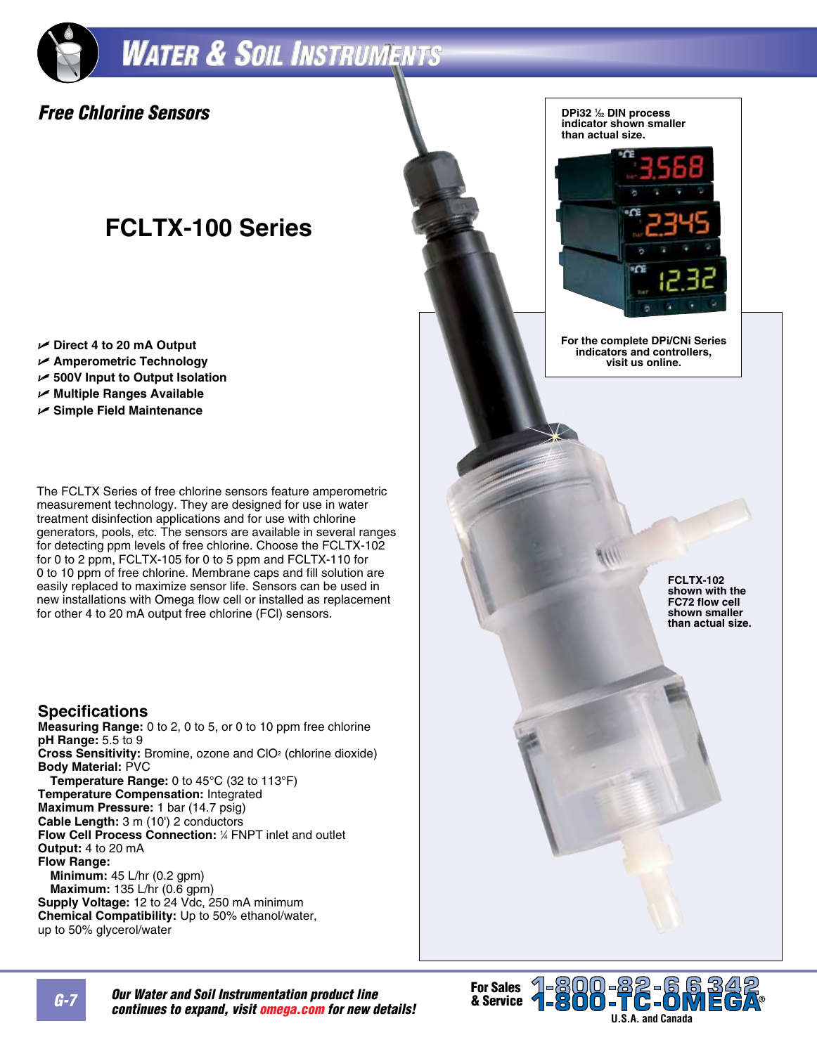## **WATER & SOIL INSTRUMENTS**

### *Free Chlorine Sensors*

### **FCLTX-100 Series**

- U **Direct 4 to 20 mA Output**
- U **Amperometric Technology**
- U **500V Input to Output Isolation**
- U **Multiple Ranges Available**
- U **Simple Field Maintenance**

The FCLTX Series of free chlorine sensors feature amperometric measurement technology. They are designed for use in water treatment disinfection applications and for use with chlorine generators, pools, etc. The sensors are available in several ranges for detecting ppm levels of free chlorine. Choose the FCLTX-102 for 0 to 2 ppm, FCLTX-105 for 0 to 5 ppm and FCLTX-110 for 0 to 10 ppm of free chlorine. Membrane caps and fill solution are easily replaced to maximize sensor life. Sensors can be used in new installations with Omega flow cell or installed as replacement for other 4 to 20 mA output free chlorine (FCl) sensors.

#### **Specifications**

**Measuring Range:** 0 to 2, 0 to 5, or 0 to 10 ppm free chlorine **pH Range:** 5.5 to 9 **Cross Sensitivity:** Bromine, ozone and CIO<sup>2</sup> (chlorine dioxide) **Body Material:** PVC **Temperature Range:** 0 to 45°C (32 to 113°F) **Temperature Compensation:** Integrated **Maximum Pressure:** 1 bar (14.7 psig) **Cable Length:** 3 m (10') 2 conductors **Flow Cell Process Connection:** <sup>1</sup> ⁄4 FNPT inlet and outlet **Output:** 4 to 20 mA **Flow Range: Minimum:** 45 L/hr (0.2 gpm) **Maximum:** 135 L/hr (0.6 gpm) **Supply Voltage:** 12 to 24 Vdc, 250 mA minimum **Chemical Compatibility:** Up to 50% ethanol/water,

up to 50% glycerol/water



**Our Water and Soil Instrumentation product line** *continues to expand, visit omega.com for new details!*

1-800-82-66<br>**1-800-TC-0M For Sales<br>& Service** 

**U.S.A. and Canada**